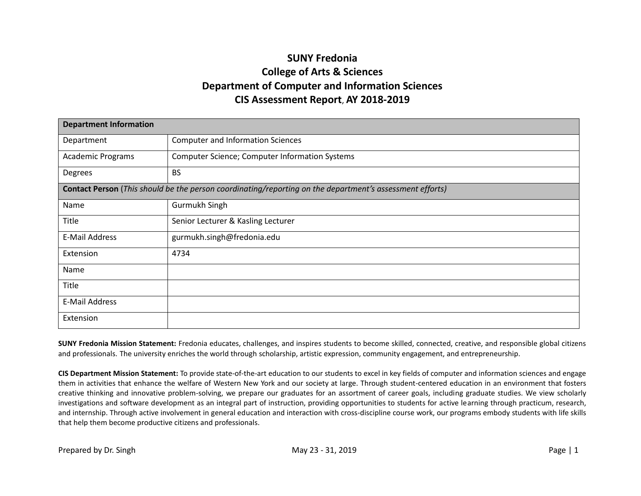## **SUNY Fredonia College of Arts & Sciences Department of Computer and Information Sciences CIS Assessment Report**, **AY 2018-2019**

| <b>Department Information</b> |                                                                                                          |  |  |  |  |  |  |  |  |
|-------------------------------|----------------------------------------------------------------------------------------------------------|--|--|--|--|--|--|--|--|
| Department                    | <b>Computer and Information Sciences</b>                                                                 |  |  |  |  |  |  |  |  |
| <b>Academic Programs</b>      | <b>Computer Science; Computer Information Systems</b>                                                    |  |  |  |  |  |  |  |  |
| Degrees                       | <b>BS</b>                                                                                                |  |  |  |  |  |  |  |  |
|                               | Contact Person (This should be the person coordinating/reporting on the department's assessment efforts) |  |  |  |  |  |  |  |  |
| Name                          | Gurmukh Singh                                                                                            |  |  |  |  |  |  |  |  |
| Title                         | Senior Lecturer & Kasling Lecturer                                                                       |  |  |  |  |  |  |  |  |
| E-Mail Address                | gurmukh.singh@fredonia.edu                                                                               |  |  |  |  |  |  |  |  |
| Extension                     | 4734                                                                                                     |  |  |  |  |  |  |  |  |
| Name                          |                                                                                                          |  |  |  |  |  |  |  |  |
| Title                         |                                                                                                          |  |  |  |  |  |  |  |  |
| E-Mail Address                |                                                                                                          |  |  |  |  |  |  |  |  |
| Extension                     |                                                                                                          |  |  |  |  |  |  |  |  |

**SUNY Fredonia Mission Statement:** Fredonia educates, challenges, and inspires students to become skilled, connected, creative, and responsible global citizens and professionals. The university enriches the world through scholarship, artistic expression, community engagement, and entrepreneurship.

**CIS Department Mission Statement:** To provide state-of-the-art education to our students to excel in key fields of computer and information sciences and engage them in activities that enhance the welfare of Western New York and our society at large. Through student-centered education in an environment that fosters creative thinking and innovative problem-solving, we prepare our graduates for an assortment of career goals, including graduate studies. We view scholarly investigations and software development as an integral part of instruction, providing opportunities to students for active learning through practicum, research, and internship. Through active involvement in general education and interaction with cross-discipline course work, our programs embody students with life skills that help them become productive citizens and professionals.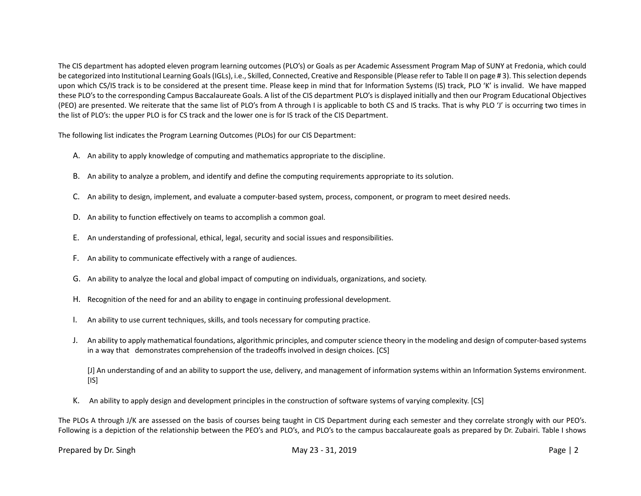The CIS department has adopted eleven program learning outcomes (PLO's) or Goals as per Academic Assessment Program Map of SUNY at Fredonia, which could be categorized into Institutional Learning Goals (IGLs), i.e., Skilled, Connected, Creative and Responsible (Please refer to Table II on page # 3). This selection depends upon which CS/IS track is to be considered at the present time. Please keep in mind that for Information Systems (IS) track, PLO 'K' is invalid. We have mapped these PLO's to the corresponding Campus Baccalaureate Goals. A list of the CIS department PLO's is displayed initially and then our Program Educational Objectives (PEO) are presented. We reiterate that the same list of PLO's from A through I is applicable to both CS and IS tracks. That is why PLO 'J' is occurring two times in the list of PLO's: the upper PLO is for CS track and the lower one is for IS track of the CIS Department.

The following list indicates the Program Learning Outcomes (PLOs) for our CIS Department:

- A. An ability to apply knowledge of computing and mathematics appropriate to the discipline.
- B. An ability to analyze a problem, and identify and define the computing requirements appropriate to its solution.
- C. An ability to design, implement, and evaluate a computer-based system, process, component, or program to meet desired needs.
- D. An ability to function effectively on teams to accomplish a common goal.
- E. An understanding of professional, ethical, legal, security and social issues and responsibilities.
- F. An ability to communicate effectively with a range of audiences.
- G. An ability to analyze the local and global impact of computing on individuals, organizations, and society.
- H. Recognition of the need for and an ability to engage in continuing professional development.
- I. An ability to use current techniques, skills, and tools necessary for computing practice.
- J. An ability to apply mathematical foundations, algorithmic principles, and computer science theory in the modeling and design of computer-based systems in a way that demonstrates comprehension of the tradeoffs involved in design choices. [CS]

[J] An understanding of and an ability to support the use, delivery, and management of information systems within an Information Systems environment.  $[IS]$ 

K. An ability to apply design and development principles in the construction of software systems of varying complexity. [CS]

The PLOs A through J/K are assessed on the basis of courses being taught in CIS Department during each semester and they correlate strongly with our PEO's. Following is a depiction of the relationship between the PEO's and PLO's, and PLO's to the campus baccalaureate goals as prepared by Dr. Zubairi. Table I shows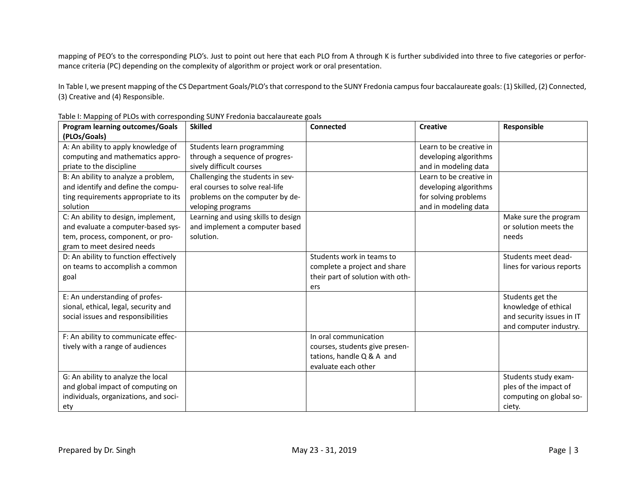mapping of PEO's to the corresponding PLO's. Just to point out here that each PLO from A through K is further subdivided into three to five categories or performance criteria (PC) depending on the complexity of algorithm or project work or oral presentation.

In Table I, we present mapping of the CS Department Goals/PLO's that correspond to the SUNY Fredonia campus four baccalaureate goals: (1) Skilled, (2) Connected, (3) Creative and (4) Responsible.

| <b>Program learning outcomes/Goals</b> | <b>Skilled</b>                      | Connected                        | <b>Creative</b>         | Responsible               |
|----------------------------------------|-------------------------------------|----------------------------------|-------------------------|---------------------------|
| (PLOs/Goals)                           |                                     |                                  |                         |                           |
| A: An ability to apply knowledge of    | Students learn programming          |                                  | Learn to be creative in |                           |
| computing and mathematics appro-       | through a sequence of progres-      |                                  | developing algorithms   |                           |
| priate to the discipline               | sively difficult courses            |                                  | and in modeling data    |                           |
| B: An ability to analyze a problem,    | Challenging the students in sev-    |                                  | Learn to be creative in |                           |
| and identify and define the compu-     | eral courses to solve real-life     |                                  | developing algorithms   |                           |
| ting requirements appropriate to its   | problems on the computer by de-     |                                  | for solving problems    |                           |
| solution                               | veloping programs                   |                                  | and in modeling data    |                           |
| C: An ability to design, implement,    | Learning and using skills to design |                                  |                         | Make sure the program     |
| and evaluate a computer-based sys-     | and implement a computer based      |                                  |                         | or solution meets the     |
| tem, process, component, or pro-       | solution.                           |                                  |                         | needs                     |
| gram to meet desired needs             |                                     |                                  |                         |                           |
| D: An ability to function effectively  |                                     | Students work in teams to        |                         | Students meet dead-       |
| on teams to accomplish a common        |                                     | complete a project and share     |                         | lines for various reports |
| goal                                   |                                     | their part of solution with oth- |                         |                           |
|                                        |                                     | ers                              |                         |                           |
| E: An understanding of profes-         |                                     |                                  |                         | Students get the          |
| sional, ethical, legal, security and   |                                     |                                  |                         | knowledge of ethical      |
| social issues and responsibilities     |                                     |                                  |                         | and security issues in IT |
|                                        |                                     |                                  |                         | and computer industry.    |
| F: An ability to communicate effec-    |                                     | In oral communication            |                         |                           |
| tively with a range of audiences       |                                     | courses, students give presen-   |                         |                           |
|                                        |                                     | tations, handle Q & A and        |                         |                           |
|                                        |                                     | evaluate each other              |                         |                           |
| G: An ability to analyze the local     |                                     |                                  |                         | Students study exam-      |
| and global impact of computing on      |                                     |                                  |                         | ples of the impact of     |
| individuals, organizations, and soci-  |                                     |                                  |                         | computing on global so-   |
| ety                                    |                                     |                                  |                         | ciety.                    |

Table I: Mapping of PLOs with corresponding SUNY Fredonia baccalaureate goals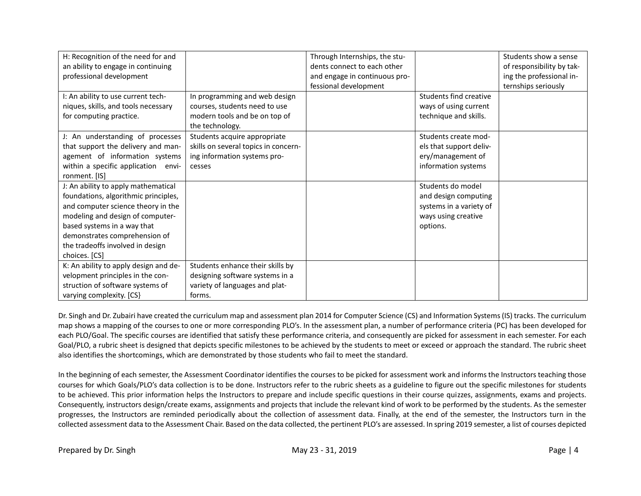| H: Recognition of the need for and    |                                      | Through Internships, the stu- |                         | Students show a sense     |
|---------------------------------------|--------------------------------------|-------------------------------|-------------------------|---------------------------|
| an ability to engage in continuing    |                                      | dents connect to each other   |                         | of responsibility by tak- |
| professional development              |                                      | and engage in continuous pro- |                         | ing the professional in-  |
|                                       |                                      | fessional development         |                         | ternships seriously       |
| I: An ability to use current tech-    | In programming and web design        |                               | Students find creative  |                           |
| niques, skills, and tools necessary   | courses, students need to use        |                               | ways of using current   |                           |
| for computing practice.               | modern tools and be on top of        |                               | technique and skills.   |                           |
|                                       | the technology.                      |                               |                         |                           |
| J: An understanding of processes      | Students acquire appropriate         |                               | Students create mod-    |                           |
| that support the delivery and man-    | skills on several topics in concern- |                               | els that support deliv- |                           |
| agement of information systems        | ing information systems pro-         |                               | ery/management of       |                           |
| within a specific application envi-   | cesses                               |                               | information systems     |                           |
| ronment. [IS]                         |                                      |                               |                         |                           |
| J: An ability to apply mathematical   |                                      |                               | Students do model       |                           |
| foundations, algorithmic principles,  |                                      |                               | and design computing    |                           |
| and computer science theory in the    |                                      |                               | systems in a variety of |                           |
| modeling and design of computer-      |                                      |                               | ways using creative     |                           |
| based systems in a way that           |                                      |                               | options.                |                           |
| demonstrates comprehension of         |                                      |                               |                         |                           |
| the tradeoffs involved in design      |                                      |                               |                         |                           |
| choices. [CS]                         |                                      |                               |                         |                           |
| K: An ability to apply design and de- | Students enhance their skills by     |                               |                         |                           |
| velopment principles in the con-      | designing software systems in a      |                               |                         |                           |
| struction of software systems of      | variety of languages and plat-       |                               |                         |                           |
| varying complexity. [CS]              | forms.                               |                               |                         |                           |

Dr. Singh and Dr. Zubairi have created the curriculum map and assessment plan 2014 for Computer Science (CS) and Information Systems (IS) tracks. The curriculum map shows a mapping of the courses to one or more corresponding PLO's. In the assessment plan, a number of performance criteria (PC) has been developed for each PLO/Goal. The specific courses are identified that satisfy these performance criteria, and consequently are picked for assessment in each semester. For each Goal/PLO, a rubric sheet is designed that depicts specific milestones to be achieved by the students to meet or exceed or approach the standard. The rubric sheet also identifies the shortcomings, which are demonstrated by those students who fail to meet the standard.

In the beginning of each semester, the Assessment Coordinator identifies the courses to be picked for assessment work and informs the Instructors teaching those courses for which Goals/PLO's data collection is to be done. Instructors refer to the rubric sheets as a guideline to figure out the specific milestones for students to be achieved. This prior information helps the Instructors to prepare and include specific questions in their course quizzes, assignments, exams and projects. Consequently, instructors design/create exams, assignments and projects that include the relevant kind of work to be performed by the students. As the semester progresses, the Instructors are reminded periodically about the collection of assessment data. Finally, at the end of the semester, the Instructors turn in the collected assessment data to the Assessment Chair. Based on the data collected, the pertinent PLO's are assessed. In spring 2019 semester, a list of courses depicted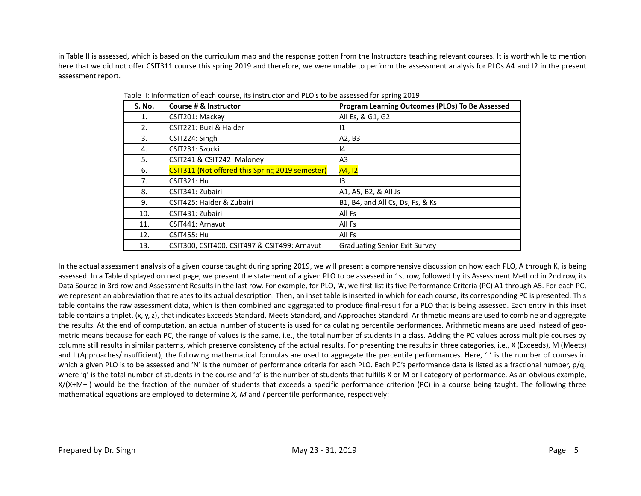in Table II is assessed, which is based on the curriculum map and the response gotten from the Instructors teaching relevant courses. It is worthwhile to mention here that we did not offer CSIT311 course this spring 2019 and therefore, we were unable to perform the assessment analysis for PLOs A4 and I2 in the present assessment report.

| <b>S. No.</b> | Course # & Instructor                           | Program Learning Outcomes (PLOs) To Be Assessed |
|---------------|-------------------------------------------------|-------------------------------------------------|
| 1.            | CSIT201: Mackey                                 | All Es, & G1, G2                                |
| 2.            | CSIT221: Buzi & Haider                          | 11                                              |
| 3.            | CSIT224: Singh                                  | A2, B3                                          |
| 4.            | CSIT231: Szocki                                 | 14                                              |
| 5.            | CSIT241 & CSIT242: Maloney                      | A3                                              |
| 6.            | CSIT311 (Not offered this Spring 2019 semester) | A4, 12                                          |
| 7.            | CSIT321: Hu                                     | 13                                              |
| 8.            | CSIT341: Zubairi                                | A1, A5, B2, & All Js                            |
| 9.            | CSIT425: Haider & Zubairi                       | B1, B4, and All Cs, Ds, Fs, & Ks                |
| 10.           | CSIT431: Zubairi                                | All Fs                                          |
| 11.           | CSIT441: Arnavut                                | All Fs                                          |
| 12.           | <b>CSIT455: Hu</b>                              | All Fs                                          |
| 13.           | CSIT300, CSIT400, CSIT497 & CSIT499: Arnavut    | <b>Graduating Senior Exit Survey</b>            |

Table II: Information of each course, its instructor and PLO's to be assessed for spring 2019

In the actual assessment analysis of a given course taught during spring 2019, we will present a comprehensive discussion on how each PLO, A through K, is being assessed. In a Table displayed on next page, we present the statement of a given PLO to be assessed in 1st row, followed by its Assessment Method in 2nd row, its Data Source in 3rd row and Assessment Results in the last row. For example, for PLO, 'A', we first list its five Performance Criteria (PC) A1 through A5. For each PC, we represent an abbreviation that relates to its actual description. Then, an inset table is inserted in which for each course, its corresponding PC is presented. This table contains the raw assessment data, which is then combined and aggregated to produce final-result for a PLO that is being assessed. Each entry in this inset table contains a triplet, (x, y, z), that indicates Exceeds Standard, Meets Standard, and Approaches Standard. Arithmetic means are used to combine and aggregate the results. At the end of computation, an actual number of students is used for calculating percentile performances. Arithmetic means are used instead of geometric means because for each PC, the range of values is the same, i.e., the total number of students in a class. Adding the PC values across multiple courses by columns still results in similar patterns, which preserve consistency of the actual results. For presenting the results in three categories, i.e., X (Exceeds), M (Meets) and I (Approaches/Insufficient), the following mathematical formulas are used to aggregate the percentile performances. Here, 'L' is the number of courses in which a given PLO is to be assessed and 'N' is the number of performance criteria for each PLO. Each PC's performance data is listed as a fractional number, p/q, where 'q' is the total number of students in the course and 'p' is the number of students that fulfills X or M or I category of performance. As an obvious example, X/(X+M+I) would be the fraction of the number of students that exceeds a specific performance criterion (PC) in a course being taught. The following three mathematical equations are employed to determine *X, M* and *I* percentile performance, respectively: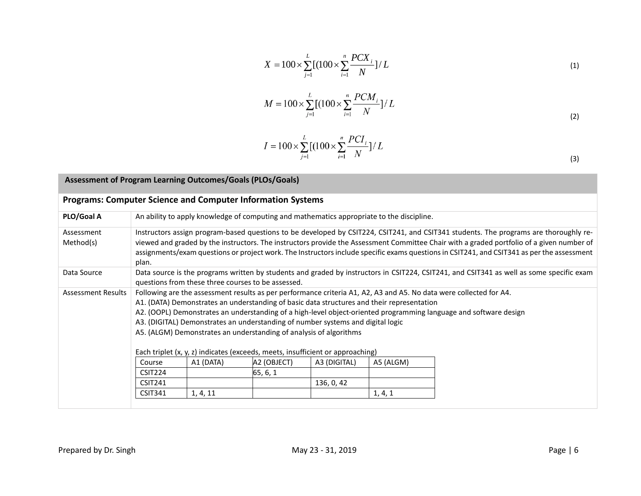$$
X = 100 \times \sum_{j=1}^{L} [(100 \times \sum_{i=1}^{n} \frac{PCX_i}{N}] / L \tag{1}
$$

$$
M = 100 \times \sum_{j=1}^{L} \left[ (100 \times \sum_{i=1}^{n} \frac{PCM_i}{N}) / L \right]
$$
 (2)

$$
I = 100 \times \sum_{j=1}^{L} \left[ (100 \times \sum_{i=1}^{n} \frac{PCI_i}{N}) / L \right]
$$
 (3)

| Assessment of Program Learning Outcomes/Goals (PLOs/Goals)         |                                                                                                                                                                                                                                                                                                                                                                                                                                           |                                                                                                                                                                                                                                                                                                                                                                                                                                                                                                                                                                                  |                                                    |              |           |                                                                                                                                          |  |  |  |  |  |
|--------------------------------------------------------------------|-------------------------------------------------------------------------------------------------------------------------------------------------------------------------------------------------------------------------------------------------------------------------------------------------------------------------------------------------------------------------------------------------------------------------------------------|----------------------------------------------------------------------------------------------------------------------------------------------------------------------------------------------------------------------------------------------------------------------------------------------------------------------------------------------------------------------------------------------------------------------------------------------------------------------------------------------------------------------------------------------------------------------------------|----------------------------------------------------|--------------|-----------|------------------------------------------------------------------------------------------------------------------------------------------|--|--|--|--|--|
| <b>Programs: Computer Science and Computer Information Systems</b> |                                                                                                                                                                                                                                                                                                                                                                                                                                           |                                                                                                                                                                                                                                                                                                                                                                                                                                                                                                                                                                                  |                                                    |              |           |                                                                                                                                          |  |  |  |  |  |
| PLO/Goal A                                                         | An ability to apply knowledge of computing and mathematics appropriate to the discipline.                                                                                                                                                                                                                                                                                                                                                 |                                                                                                                                                                                                                                                                                                                                                                                                                                                                                                                                                                                  |                                                    |              |           |                                                                                                                                          |  |  |  |  |  |
| Assessment<br>Method(s)                                            | Instructors assign program-based questions to be developed by CSIT224, CSIT241, and CSIT341 students. The programs are thoroughly re-<br>viewed and graded by the instructors. The instructors provide the Assessment Committee Chair with a graded portfolio of a given number of<br>assignments/exam questions or project work. The Instructors include specific exams questions in CSIT241, and CSIT341 as per the assessment<br>plan. |                                                                                                                                                                                                                                                                                                                                                                                                                                                                                                                                                                                  |                                                    |              |           |                                                                                                                                          |  |  |  |  |  |
| Data Source                                                        |                                                                                                                                                                                                                                                                                                                                                                                                                                           |                                                                                                                                                                                                                                                                                                                                                                                                                                                                                                                                                                                  | questions from these three courses to be assessed. |              |           | Data source is the programs written by students and graded by instructors in CSIT224, CSIT241, and CSIT341 as well as some specific exam |  |  |  |  |  |
| <b>Assessment Results</b>                                          |                                                                                                                                                                                                                                                                                                                                                                                                                                           | Following are the assessment results as per performance criteria A1, A2, A3 and A5. No data were collected for A4.<br>A1. (DATA) Demonstrates an understanding of basic data structures and their representation<br>A2. (OOPL) Demonstrates an understanding of a high-level object-oriented programming language and software design<br>A3. (DIGITAL) Demonstrates an understanding of number systems and digital logic<br>A5. (ALGM) Demonstrates an understanding of analysis of algorithms<br>Each triplet (x, y, z) indicates (exceeds, meets, insufficient or approaching) |                                                    |              |           |                                                                                                                                          |  |  |  |  |  |
|                                                                    | Course<br>CSIT224                                                                                                                                                                                                                                                                                                                                                                                                                         | A1 (DATA)                                                                                                                                                                                                                                                                                                                                                                                                                                                                                                                                                                        | A2 (OBJECT)<br>65, 6, 1                            | A3 (DIGITAL) | A5 (ALGM) |                                                                                                                                          |  |  |  |  |  |
|                                                                    | <b>CSIT241</b>                                                                                                                                                                                                                                                                                                                                                                                                                            |                                                                                                                                                                                                                                                                                                                                                                                                                                                                                                                                                                                  |                                                    | 136, 0, 42   |           |                                                                                                                                          |  |  |  |  |  |
|                                                                    | <b>CSIT341</b>                                                                                                                                                                                                                                                                                                                                                                                                                            | 1, 4, 11                                                                                                                                                                                                                                                                                                                                                                                                                                                                                                                                                                         |                                                    |              | 1, 4, 1   |                                                                                                                                          |  |  |  |  |  |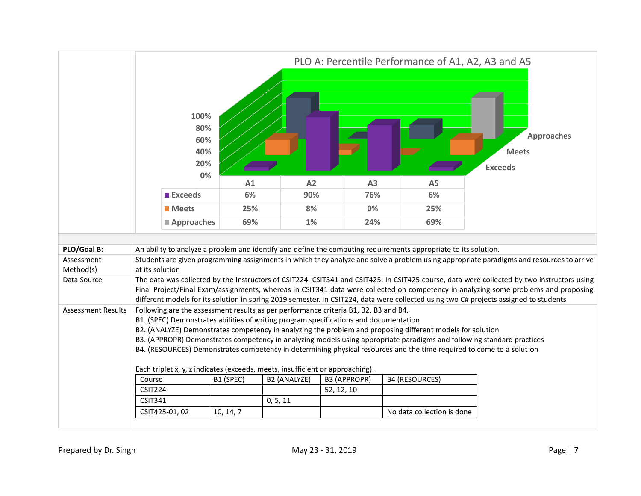|                           | PLO A: Percentile Performance of A1, A2, A3 and A5                                                                                                                                                                                                                                                                                                                                                                                                                                                                                            |           |              |                     |                            |                                                                                                                                                                                                                                                                                                                                                                                                                             |  |  |  |  |
|---------------------------|-----------------------------------------------------------------------------------------------------------------------------------------------------------------------------------------------------------------------------------------------------------------------------------------------------------------------------------------------------------------------------------------------------------------------------------------------------------------------------------------------------------------------------------------------|-----------|--------------|---------------------|----------------------------|-----------------------------------------------------------------------------------------------------------------------------------------------------------------------------------------------------------------------------------------------------------------------------------------------------------------------------------------------------------------------------------------------------------------------------|--|--|--|--|
|                           | 100%<br>80%<br>60%<br>40%<br>20%                                                                                                                                                                                                                                                                                                                                                                                                                                                                                                              |           |              |                     |                            | <b>Approaches</b><br><b>Meets</b><br><b>Exceeds</b>                                                                                                                                                                                                                                                                                                                                                                         |  |  |  |  |
|                           | 0%                                                                                                                                                                                                                                                                                                                                                                                                                                                                                                                                            | A1        | A2           | A3                  | A <sub>5</sub>             |                                                                                                                                                                                                                                                                                                                                                                                                                             |  |  |  |  |
|                           | <b>Exceeds</b>                                                                                                                                                                                                                                                                                                                                                                                                                                                                                                                                | 6%        | 90%          | 76%                 | 6%                         |                                                                                                                                                                                                                                                                                                                                                                                                                             |  |  |  |  |
|                           | <b>Meets</b>                                                                                                                                                                                                                                                                                                                                                                                                                                                                                                                                  | 25%       | 8%           | 0%                  | 25%                        |                                                                                                                                                                                                                                                                                                                                                                                                                             |  |  |  |  |
|                           | Approaches                                                                                                                                                                                                                                                                                                                                                                                                                                                                                                                                    | 69%       | 1%           | 24%                 | 69%                        |                                                                                                                                                                                                                                                                                                                                                                                                                             |  |  |  |  |
|                           |                                                                                                                                                                                                                                                                                                                                                                                                                                                                                                                                               |           |              |                     |                            |                                                                                                                                                                                                                                                                                                                                                                                                                             |  |  |  |  |
| PLO/Goal B:               | An ability to analyze a problem and identify and define the computing requirements appropriate to its solution.                                                                                                                                                                                                                                                                                                                                                                                                                               |           |              |                     |                            |                                                                                                                                                                                                                                                                                                                                                                                                                             |  |  |  |  |
| Assessment<br>Method(s)   | at its solution                                                                                                                                                                                                                                                                                                                                                                                                                                                                                                                               |           |              |                     |                            | Students are given programming assignments in which they analyze and solve a problem using appropriate paradigms and resources to arrive                                                                                                                                                                                                                                                                                    |  |  |  |  |
| Data Source               |                                                                                                                                                                                                                                                                                                                                                                                                                                                                                                                                               |           |              |                     |                            | The data was collected by the Instructors of CSIT224, CSIT341 and CSIT425. In CSIT425 course, data were collected by two instructors using<br>Final Project/Final Exam/assignments, whereas in CSIT341 data were collected on competency in analyzing some problems and proposing<br>different models for its solution in spring 2019 semester. In CSIT224, data were collected using two C# projects assigned to students. |  |  |  |  |
| <b>Assessment Results</b> | Following are the assessment results as per performance criteria B1, B2, B3 and B4.<br>B1. (SPEC) Demonstrates abilities of writing program specifications and documentation<br>B2. (ANALYZE) Demonstrates competency in analyzing the problem and proposing different models for solution<br>B3. (APPROPR) Demonstrates competency in analyzing models using appropriate paradigms and following standard practices<br>B4. (RESOURCES) Demonstrates competency in determining physical resources and the time required to come to a solution |           |              |                     |                            |                                                                                                                                                                                                                                                                                                                                                                                                                             |  |  |  |  |
|                           | Each triplet x, y, z indicates (exceeds, meets, insufficient or approaching).                                                                                                                                                                                                                                                                                                                                                                                                                                                                 |           |              |                     |                            |                                                                                                                                                                                                                                                                                                                                                                                                                             |  |  |  |  |
|                           | Course                                                                                                                                                                                                                                                                                                                                                                                                                                                                                                                                        | B1 (SPEC) | B2 (ANALYZE) | <b>B3 (APPROPR)</b> | <b>B4 (RESOURCES)</b>      |                                                                                                                                                                                                                                                                                                                                                                                                                             |  |  |  |  |
|                           | <b>CSIT224</b>                                                                                                                                                                                                                                                                                                                                                                                                                                                                                                                                |           |              | 52, 12, 10          |                            |                                                                                                                                                                                                                                                                                                                                                                                                                             |  |  |  |  |
|                           | <b>CSIT341</b>                                                                                                                                                                                                                                                                                                                                                                                                                                                                                                                                |           | 0, 5, 11     |                     |                            |                                                                                                                                                                                                                                                                                                                                                                                                                             |  |  |  |  |
|                           | CSIT425-01, 02                                                                                                                                                                                                                                                                                                                                                                                                                                                                                                                                | 10, 14, 7 |              |                     | No data collection is done |                                                                                                                                                                                                                                                                                                                                                                                                                             |  |  |  |  |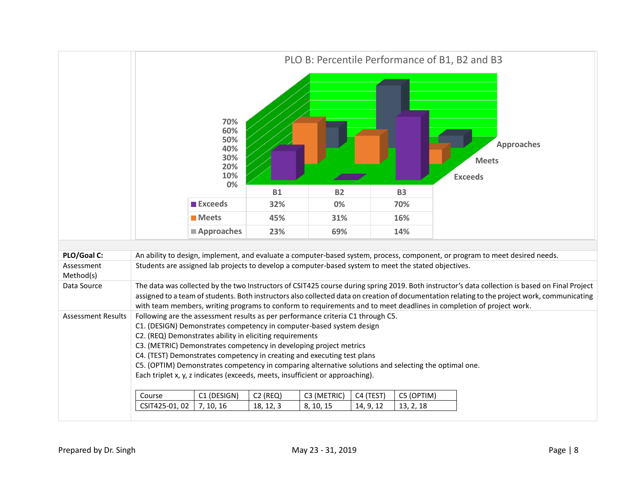

| PLO/Goal C:               | An ability to design, implement, and evaluate a computer-based system, process, component, or program to meet desired needs.                    |                                                                                                                     |            |             |           |                                                                                                       |                                                                                                                                               |  |  |  |  |  |
|---------------------------|-------------------------------------------------------------------------------------------------------------------------------------------------|---------------------------------------------------------------------------------------------------------------------|------------|-------------|-----------|-------------------------------------------------------------------------------------------------------|-----------------------------------------------------------------------------------------------------------------------------------------------|--|--|--|--|--|
| Assessment                | Students are assigned lab projects to develop a computer-based system to meet the stated objectives.                                            |                                                                                                                     |            |             |           |                                                                                                       |                                                                                                                                               |  |  |  |  |  |
| Method(s)                 |                                                                                                                                                 |                                                                                                                     |            |             |           |                                                                                                       |                                                                                                                                               |  |  |  |  |  |
| Data Source               | The data was collected by the two Instructors of CSIT425 course during spring 2019. Both instructor's data collection is based on Final Project |                                                                                                                     |            |             |           |                                                                                                       |                                                                                                                                               |  |  |  |  |  |
|                           |                                                                                                                                                 |                                                                                                                     |            |             |           |                                                                                                       | assigned to a team of students. Both instructors also collected data on creation of documentation relating to the project work, communicating |  |  |  |  |  |
|                           |                                                                                                                                                 | with team members, writing programs to conform to requirements and to meet deadlines in completion of project work. |            |             |           |                                                                                                       |                                                                                                                                               |  |  |  |  |  |
| <b>Assessment Results</b> | Following are the assessment results as per performance criteria C1 through C5.                                                                 |                                                                                                                     |            |             |           |                                                                                                       |                                                                                                                                               |  |  |  |  |  |
|                           | C1. (DESIGN) Demonstrates competency in computer-based system design                                                                            |                                                                                                                     |            |             |           |                                                                                                       |                                                                                                                                               |  |  |  |  |  |
|                           | C2. (REQ) Demonstrates ability in eliciting requirements                                                                                        |                                                                                                                     |            |             |           |                                                                                                       |                                                                                                                                               |  |  |  |  |  |
|                           | C3. (METRIC) Demonstrates competency in developing project metrics                                                                              |                                                                                                                     |            |             |           |                                                                                                       |                                                                                                                                               |  |  |  |  |  |
|                           | C4. (TEST) Demonstrates competency in creating and executing test plans                                                                         |                                                                                                                     |            |             |           |                                                                                                       |                                                                                                                                               |  |  |  |  |  |
|                           |                                                                                                                                                 |                                                                                                                     |            |             |           | C5. (OPTIM) Demonstrates competency in comparing alternative solutions and selecting the optimal one. |                                                                                                                                               |  |  |  |  |  |
|                           | Each triplet x, y, z indicates (exceeds, meets, insufficient or approaching).                                                                   |                                                                                                                     |            |             |           |                                                                                                       |                                                                                                                                               |  |  |  |  |  |
|                           |                                                                                                                                                 |                                                                                                                     |            |             |           |                                                                                                       |                                                                                                                                               |  |  |  |  |  |
|                           |                                                                                                                                                 |                                                                                                                     |            |             |           |                                                                                                       |                                                                                                                                               |  |  |  |  |  |
|                           | Course                                                                                                                                          | C1 (DESIGN)                                                                                                         | $C2$ (REQ) | C3 (METRIC) | C4 (TEST) | C5 (OPTIM)                                                                                            |                                                                                                                                               |  |  |  |  |  |
|                           | CSIT425-01, 02                                                                                                                                  | 7, 10, 16                                                                                                           | 18, 12, 3  | 8, 10, 15   | 14, 9, 12 | 13, 2, 18                                                                                             |                                                                                                                                               |  |  |  |  |  |
|                           |                                                                                                                                                 |                                                                                                                     |            |             |           |                                                                                                       |                                                                                                                                               |  |  |  |  |  |
|                           |                                                                                                                                                 |                                                                                                                     |            |             |           |                                                                                                       |                                                                                                                                               |  |  |  |  |  |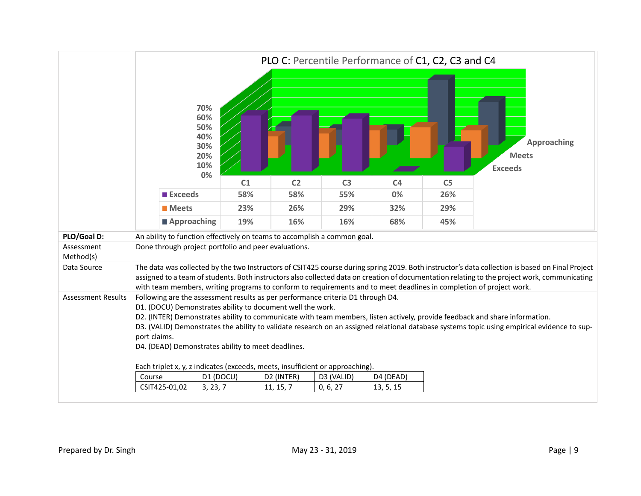|                           |                                                                                                                                                                                                                                                                                                                                                                                                                                                                                                   | PLO C: Percentile Performance of C1, C2, C3 and C4  |                |                |                |                |                                                                                                                                                                                                                                                                                                  |  |  |  |
|---------------------------|---------------------------------------------------------------------------------------------------------------------------------------------------------------------------------------------------------------------------------------------------------------------------------------------------------------------------------------------------------------------------------------------------------------------------------------------------------------------------------------------------|-----------------------------------------------------|----------------|----------------|----------------|----------------|--------------------------------------------------------------------------------------------------------------------------------------------------------------------------------------------------------------------------------------------------------------------------------------------------|--|--|--|
|                           |                                                                                                                                                                                                                                                                                                                                                                                                                                                                                                   | 70%<br>60%<br>50%<br>40%<br>30%<br>20%<br>10%<br>0% |                |                |                |                | <b>Approaching</b><br><b>Meets</b><br><b>Exceeds</b>                                                                                                                                                                                                                                             |  |  |  |
|                           |                                                                                                                                                                                                                                                                                                                                                                                                                                                                                                   | C1                                                  | C <sub>2</sub> | C <sub>3</sub> | C <sub>4</sub> | C <sub>5</sub> |                                                                                                                                                                                                                                                                                                  |  |  |  |
|                           | <b>Exceeds</b>                                                                                                                                                                                                                                                                                                                                                                                                                                                                                    | 58%                                                 | 58%            | 55%            | 0%             | 26%            |                                                                                                                                                                                                                                                                                                  |  |  |  |
|                           | <b>Meets</b>                                                                                                                                                                                                                                                                                                                                                                                                                                                                                      | 23%                                                 | 26%            | 29%            | 32%            | 29%            |                                                                                                                                                                                                                                                                                                  |  |  |  |
|                           | <b>■ Approaching</b>                                                                                                                                                                                                                                                                                                                                                                                                                                                                              | 19%                                                 | 16%            | 16%            | 68%            | 45%            |                                                                                                                                                                                                                                                                                                  |  |  |  |
| PLO/Goal D:               | An ability to function effectively on teams to accomplish a common goal.                                                                                                                                                                                                                                                                                                                                                                                                                          |                                                     |                |                |                |                |                                                                                                                                                                                                                                                                                                  |  |  |  |
| Assessment<br>Method(s)   | Done through project portfolio and peer evaluations.                                                                                                                                                                                                                                                                                                                                                                                                                                              |                                                     |                |                |                |                |                                                                                                                                                                                                                                                                                                  |  |  |  |
| Data Source               | with team members, writing programs to conform to requirements and to meet deadlines in completion of project work.                                                                                                                                                                                                                                                                                                                                                                               |                                                     |                |                |                |                | The data was collected by the two Instructors of CSIT425 course during spring 2019. Both instructor's data collection is based on Final Project<br>assigned to a team of students. Both instructors also collected data on creation of documentation relating to the project work, communicating |  |  |  |
| <b>Assessment Results</b> | Following are the assessment results as per performance criteria D1 through D4.<br>D1. (DOCU) Demonstrates ability to document well the work.<br>D2. (INTER) Demonstrates ability to communicate with team members, listen actively, provide feedback and share information.<br>D3. (VALID) Demonstrates the ability to validate research on an assigned relational database systems topic using empirical evidence to sup-<br>port claims.<br>D4. (DEAD) Demonstrates ability to meet deadlines. |                                                     |                |                |                |                |                                                                                                                                                                                                                                                                                                  |  |  |  |
|                           | Each triplet x, y, z indicates (exceeds, meets, insufficient or approaching).                                                                                                                                                                                                                                                                                                                                                                                                                     |                                                     |                |                |                |                |                                                                                                                                                                                                                                                                                                  |  |  |  |
|                           | Course                                                                                                                                                                                                                                                                                                                                                                                                                                                                                            | D1 (DOCU)                                           | D2 (INTER)     | D3 (VALID)     | D4 (DEAD)      |                |                                                                                                                                                                                                                                                                                                  |  |  |  |
|                           | CSIT425-01,02                                                                                                                                                                                                                                                                                                                                                                                                                                                                                     | 3, 23, 7                                            | 11, 15, 7      | 0, 6, 27       | 13, 5, 15      |                |                                                                                                                                                                                                                                                                                                  |  |  |  |
|                           |                                                                                                                                                                                                                                                                                                                                                                                                                                                                                                   |                                                     |                |                |                |                |                                                                                                                                                                                                                                                                                                  |  |  |  |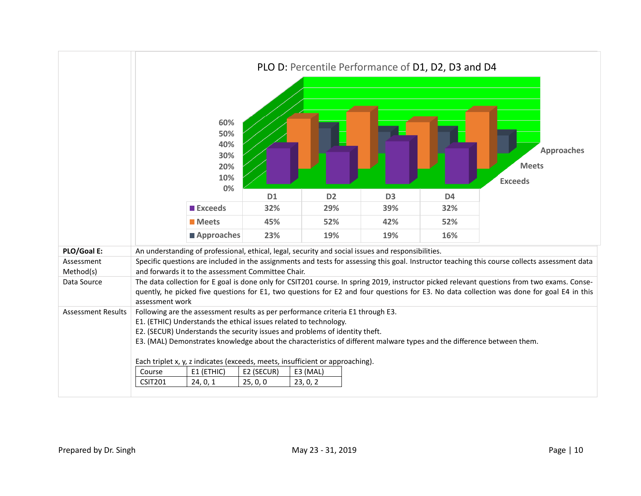|                           | 60%<br>50%<br>40%<br>30%<br>20%<br>10%<br>0%                                                                                                                                                                                                                                                                                                                  |                | PLO D: Percentile Performance of D1, D2, D3 and D4 |                |                | <b>Approaches</b><br><b>Meets</b><br><b>Exceeds</b>                                                                                                                                                                                                                                      |  |  |
|---------------------------|---------------------------------------------------------------------------------------------------------------------------------------------------------------------------------------------------------------------------------------------------------------------------------------------------------------------------------------------------------------|----------------|----------------------------------------------------|----------------|----------------|------------------------------------------------------------------------------------------------------------------------------------------------------------------------------------------------------------------------------------------------------------------------------------------|--|--|
|                           |                                                                                                                                                                                                                                                                                                                                                               | D <sub>1</sub> | D <sub>2</sub>                                     | D <sub>3</sub> | D <sub>4</sub> |                                                                                                                                                                                                                                                                                          |  |  |
|                           | <b>Exceeds</b>                                                                                                                                                                                                                                                                                                                                                | 32%            | 29%                                                | 39%            | 32%            |                                                                                                                                                                                                                                                                                          |  |  |
|                           | <b>Meets</b>                                                                                                                                                                                                                                                                                                                                                  | 45%            | 52%                                                | 42%            | 52%            |                                                                                                                                                                                                                                                                                          |  |  |
|                           | Approaches                                                                                                                                                                                                                                                                                                                                                    | 23%            | 19%                                                | 19%            | 16%            |                                                                                                                                                                                                                                                                                          |  |  |
| PLO/Goal E:               | An understanding of professional, ethical, legal, security and social issues and responsibilities.                                                                                                                                                                                                                                                            |                |                                                    |                |                |                                                                                                                                                                                                                                                                                          |  |  |
| Assessment                |                                                                                                                                                                                                                                                                                                                                                               |                |                                                    |                |                | Specific questions are included in the assignments and tests for assessing this goal. Instructor teaching this course collects assessment data                                                                                                                                           |  |  |
| Method(s)                 | and forwards it to the assessment Committee Chair.                                                                                                                                                                                                                                                                                                            |                |                                                    |                |                |                                                                                                                                                                                                                                                                                          |  |  |
| Data Source               | assessment work                                                                                                                                                                                                                                                                                                                                               |                |                                                    |                |                | The data collection for E goal is done only for CSIT201 course. In spring 2019, instructor picked relevant questions from two exams. Conse-<br>quently, he picked five questions for E1, two questions for E2 and four questions for E3. No data collection was done for goal E4 in this |  |  |
| <b>Assessment Results</b> | Following are the assessment results as per performance criteria E1 through E3.<br>E1. (ETHIC) Understands the ethical issues related to technology.<br>E2. (SECUR) Understands the security issues and problems of identity theft.<br>E3. (MAL) Demonstrates knowledge about the characteristics of different malware types and the difference between them. |                |                                                    |                |                |                                                                                                                                                                                                                                                                                          |  |  |
|                           | Each triplet x, y, z indicates (exceeds, meets, insufficient or approaching).<br>E1 (ETHIC)<br>Course                                                                                                                                                                                                                                                         | E2 (SECUR)     | E3 (MAL)                                           |                |                |                                                                                                                                                                                                                                                                                          |  |  |
|                           | <b>CSIT201</b><br>24, 0, 1                                                                                                                                                                                                                                                                                                                                    | 25, 0, 0       | 23, 0, 2                                           |                |                |                                                                                                                                                                                                                                                                                          |  |  |
|                           |                                                                                                                                                                                                                                                                                                                                                               |                |                                                    |                |                |                                                                                                                                                                                                                                                                                          |  |  |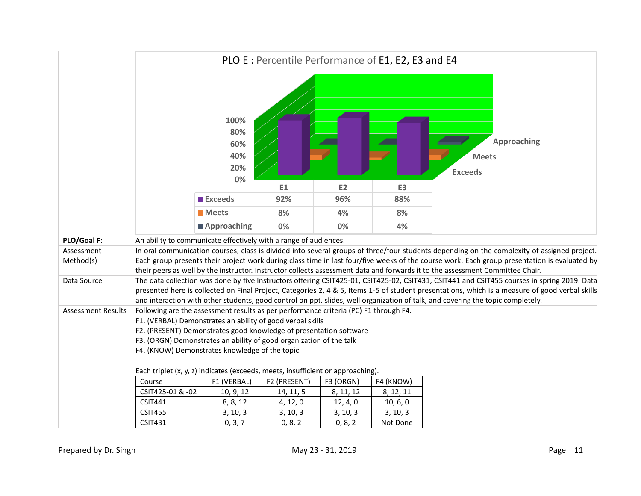|                           | PLO E : Percentile Performance of E1, E2, E3 and E4                                                                                                                                                                                                                                                                                               |                                        |              |           |                |                                                                                                                                                                                                                                                                                                                                                                                                                                   |  |  |  |  |
|---------------------------|---------------------------------------------------------------------------------------------------------------------------------------------------------------------------------------------------------------------------------------------------------------------------------------------------------------------------------------------------|----------------------------------------|--------------|-----------|----------------|-----------------------------------------------------------------------------------------------------------------------------------------------------------------------------------------------------------------------------------------------------------------------------------------------------------------------------------------------------------------------------------------------------------------------------------|--|--|--|--|
|                           |                                                                                                                                                                                                                                                                                                                                                   | 100%<br>80%<br>60%<br>40%<br>20%<br>0% |              |           |                | <b>State of Society</b><br>Approaching<br><b>Meets</b><br><b>Exceeds</b>                                                                                                                                                                                                                                                                                                                                                          |  |  |  |  |
|                           |                                                                                                                                                                                                                                                                                                                                                   |                                        | E1           | E2        | E <sub>3</sub> |                                                                                                                                                                                                                                                                                                                                                                                                                                   |  |  |  |  |
|                           |                                                                                                                                                                                                                                                                                                                                                   | <b>Exceeds</b>                         | 92%          | 96%       | 88%            |                                                                                                                                                                                                                                                                                                                                                                                                                                   |  |  |  |  |
|                           |                                                                                                                                                                                                                                                                                                                                                   | <b>Meets</b>                           | 8%           | 4%        | 8%             |                                                                                                                                                                                                                                                                                                                                                                                                                                   |  |  |  |  |
|                           |                                                                                                                                                                                                                                                                                                                                                   | <b>■ Approaching</b>                   | 0%           | 0%        | 4%             |                                                                                                                                                                                                                                                                                                                                                                                                                                   |  |  |  |  |
| PLO/Goal F:               | An ability to communicate effectively with a range of audiences.                                                                                                                                                                                                                                                                                  |                                        |              |           |                |                                                                                                                                                                                                                                                                                                                                                                                                                                   |  |  |  |  |
| Assessment<br>Method(s)   |                                                                                                                                                                                                                                                                                                                                                   |                                        |              |           |                | In oral communication courses, class is divided into several groups of three/four students depending on the complexity of assigned project.<br>Each group presents their project work during class time in last four/five weeks of the course work. Each group presentation is evaluated by<br>their peers as well by the instructor. Instructor collects assessment data and forwards it to the assessment Committee Chair.      |  |  |  |  |
| Data Source               |                                                                                                                                                                                                                                                                                                                                                   |                                        |              |           |                | The data collection was done by five Instructors offering CSIT425-01, CSIT425-02, CSIT431, CSIT441 and CSIT455 courses in spring 2019. Data<br>presented here is collected on Final Project, Categories 2, 4 & 5, Items 1-5 of student presentations, which is a measure of good verbal skills<br>and interaction with other students, good control on ppt. slides, well organization of talk, and covering the topic completely. |  |  |  |  |
| <b>Assessment Results</b> | Following are the assessment results as per performance criteria (PC) F1 through F4.<br>F1. (VERBAL) Demonstrates an ability of good verbal skills<br>F2. (PRESENT) Demonstrates good knowledge of presentation software<br>F3. (ORGN) Demonstrates an ability of good organization of the talk<br>F4. (KNOW) Demonstrates knowledge of the topic |                                        |              |           |                |                                                                                                                                                                                                                                                                                                                                                                                                                                   |  |  |  |  |
|                           | Each triplet (x, y, z) indicates (exceeds, meets, insufficient or approaching).                                                                                                                                                                                                                                                                   |                                        |              |           |                |                                                                                                                                                                                                                                                                                                                                                                                                                                   |  |  |  |  |
|                           | Course                                                                                                                                                                                                                                                                                                                                            | F1 (VERBAL)                            | F2 (PRESENT) | F3 (ORGN) | F4 (KNOW)      |                                                                                                                                                                                                                                                                                                                                                                                                                                   |  |  |  |  |
|                           | CSIT425-01 & -02                                                                                                                                                                                                                                                                                                                                  | 10, 9, 12                              | 14, 11, 5    | 8, 11, 12 | 8, 12, 11      |                                                                                                                                                                                                                                                                                                                                                                                                                                   |  |  |  |  |
|                           | <b>CSIT441</b>                                                                                                                                                                                                                                                                                                                                    | 8, 8, 12                               | 4, 12, 0     | 12, 4, 0  | 10, 6, 0       |                                                                                                                                                                                                                                                                                                                                                                                                                                   |  |  |  |  |
|                           | <b>CSIT455</b><br><b>CSIT431</b>                                                                                                                                                                                                                                                                                                                  | 3, 10, 3                               | 3, 10, 3     | 3, 10, 3  | 3, 10, 3       |                                                                                                                                                                                                                                                                                                                                                                                                                                   |  |  |  |  |
|                           |                                                                                                                                                                                                                                                                                                                                                   | 0, 3, 7                                | 0, 8, 2      | 0, 8, 2   | Not Done       |                                                                                                                                                                                                                                                                                                                                                                                                                                   |  |  |  |  |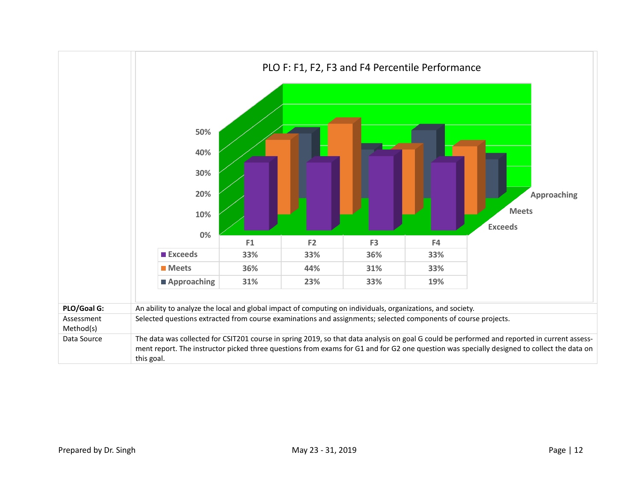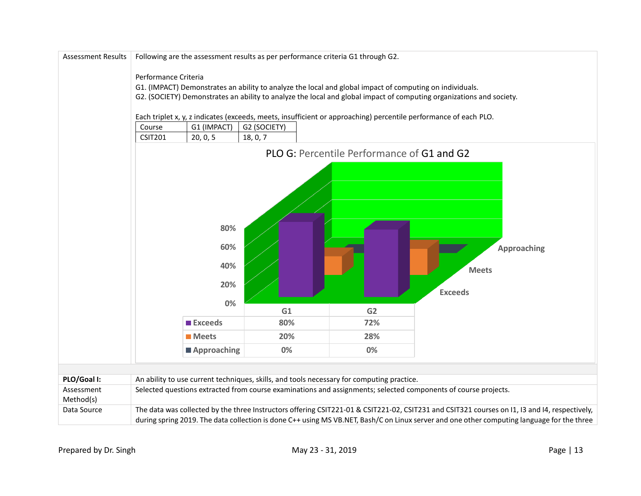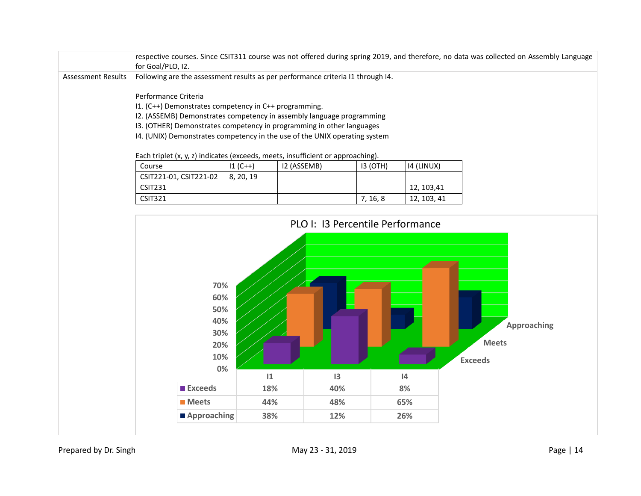|                           | for Goal/PLO, I2.                                                                                                                                                                                                                                                                                                                                                                                                                                                                             |           |                 |          |             | respective courses. Since CSIT311 course was not offered during spring 2019, and therefore, no data was collected on Assembly Language |
|---------------------------|-----------------------------------------------------------------------------------------------------------------------------------------------------------------------------------------------------------------------------------------------------------------------------------------------------------------------------------------------------------------------------------------------------------------------------------------------------------------------------------------------|-----------|-----------------|----------|-------------|----------------------------------------------------------------------------------------------------------------------------------------|
| <b>Assessment Results</b> | Following are the assessment results as per performance criteria I1 through I4.<br>Performance Criteria<br>I1. (C++) Demonstrates competency in C++ programming.<br>I2. (ASSEMB) Demonstrates competency in assembly language programming<br>I3. (OTHER) Demonstrates competency in programming in other languages<br>I4. (UNIX) Demonstrates competency in the use of the UNIX operating system<br>Each triplet (x, y, z) indicates (exceeds, meets, insufficient or approaching).<br>Course | $11(C++)$ | I2 (ASSEMB)     | 13 (OTH) | 14 (LINUX)  |                                                                                                                                        |
|                           | CSIT221-01, CSIT221-02                                                                                                                                                                                                                                                                                                                                                                                                                                                                        | 8, 20, 19 |                 |          |             |                                                                                                                                        |
|                           | <b>CSIT231</b>                                                                                                                                                                                                                                                                                                                                                                                                                                                                                |           |                 |          | 12, 103, 41 |                                                                                                                                        |
|                           | <b>CSIT321</b>                                                                                                                                                                                                                                                                                                                                                                                                                                                                                |           |                 | 7, 16, 8 | 12, 103, 41 |                                                                                                                                        |
|                           | 70%<br>60%<br>50%<br>40%<br>30%<br>20%<br>10%                                                                                                                                                                                                                                                                                                                                                                                                                                                 |           |                 |          |             | <b>Approaching</b><br><b>Meets</b><br><b>Exceeds</b>                                                                                   |
|                           | 0%                                                                                                                                                                                                                                                                                                                                                                                                                                                                                            | 1         | $\overline{13}$ |          | 4           |                                                                                                                                        |
|                           | <b>Exceeds</b>                                                                                                                                                                                                                                                                                                                                                                                                                                                                                | 18%       | 40%             |          | 8%          |                                                                                                                                        |
|                           | <b>Meets</b>                                                                                                                                                                                                                                                                                                                                                                                                                                                                                  | 44%       | 48%             |          | 65%         |                                                                                                                                        |
|                           | Approaching                                                                                                                                                                                                                                                                                                                                                                                                                                                                                   | 38%       | 12%             |          | 26%         |                                                                                                                                        |
|                           |                                                                                                                                                                                                                                                                                                                                                                                                                                                                                               |           |                 |          |             |                                                                                                                                        |

Prepared by Dr. Singh example and the May 23 - 31, 2019 May 23 - 31, 2019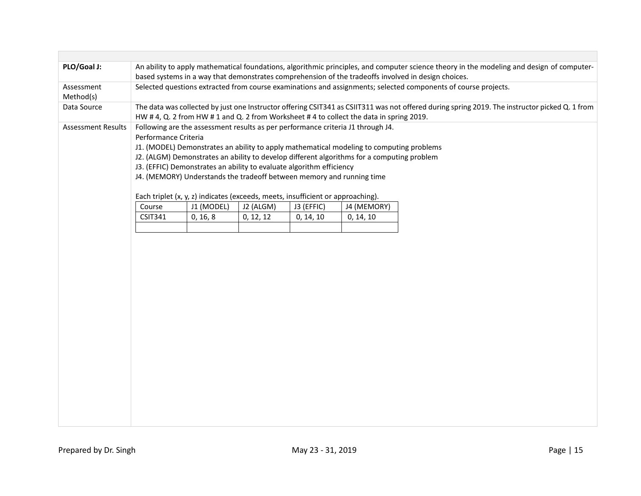| PLO/Goal J:               | An ability to apply mathematical foundations, algorithmic principles, and computer science theory in the modeling and design of computer-<br>based systems in a way that demonstrates comprehension of the tradeoffs involved in design choices. |                                                                                                                                                                                                                                  |           |            |                                                                                                                                                                                                                                                                           |  |  |  |  |  |
|---------------------------|--------------------------------------------------------------------------------------------------------------------------------------------------------------------------------------------------------------------------------------------------|----------------------------------------------------------------------------------------------------------------------------------------------------------------------------------------------------------------------------------|-----------|------------|---------------------------------------------------------------------------------------------------------------------------------------------------------------------------------------------------------------------------------------------------------------------------|--|--|--|--|--|
| Assessment<br>Method(s)   | Selected questions extracted from course examinations and assignments; selected components of course projects.                                                                                                                                   |                                                                                                                                                                                                                                  |           |            |                                                                                                                                                                                                                                                                           |  |  |  |  |  |
| Data Source               | The data was collected by just one Instructor offering CSIT341 as CSIIT311 was not offered during spring 2019. The instructor picked Q. 1 from<br>HW # 4, Q. 2 from HW # 1 and Q. 2 from Worksheet # 4 to collect the data in spring 2019.       |                                                                                                                                                                                                                                  |           |            |                                                                                                                                                                                                                                                                           |  |  |  |  |  |
| <b>Assessment Results</b> | Performance Criteria                                                                                                                                                                                                                             | J3. (EFFIC) Demonstrates an ability to evaluate algorithm efficiency<br>J4. (MEMORY) Understands the tradeoff between memory and running time<br>Each triplet (x, y, z) indicates (exceeds, meets, insufficient or approaching). |           |            | Following are the assessment results as per performance criteria J1 through J4.<br>J1. (MODEL) Demonstrates an ability to apply mathematical modeling to computing problems<br>J2. (ALGM) Demonstrates an ability to develop different algorithms for a computing problem |  |  |  |  |  |
|                           | Course                                                                                                                                                                                                                                           | J1 (MODEL)                                                                                                                                                                                                                       | J2 (ALGM) | J3 (EFFIC) | J4 (MEMORY)                                                                                                                                                                                                                                                               |  |  |  |  |  |
|                           | <b>CSIT341</b>                                                                                                                                                                                                                                   | 0, 16, 8                                                                                                                                                                                                                         | 0, 12, 12 | 0, 14, 10  | 0, 14, 10                                                                                                                                                                                                                                                                 |  |  |  |  |  |
|                           |                                                                                                                                                                                                                                                  |                                                                                                                                                                                                                                  |           |            |                                                                                                                                                                                                                                                                           |  |  |  |  |  |
|                           |                                                                                                                                                                                                                                                  |                                                                                                                                                                                                                                  |           |            |                                                                                                                                                                                                                                                                           |  |  |  |  |  |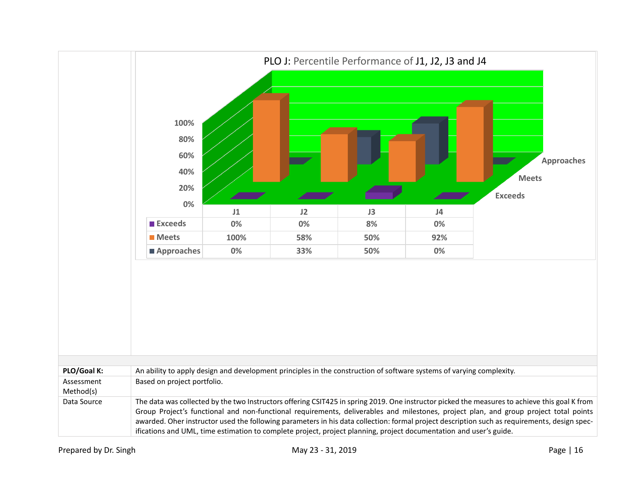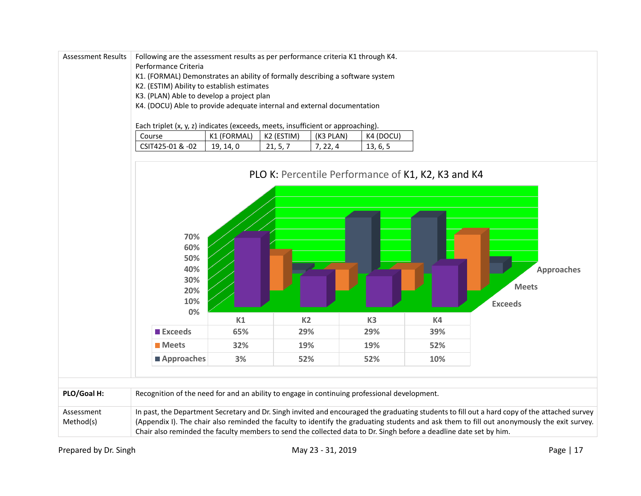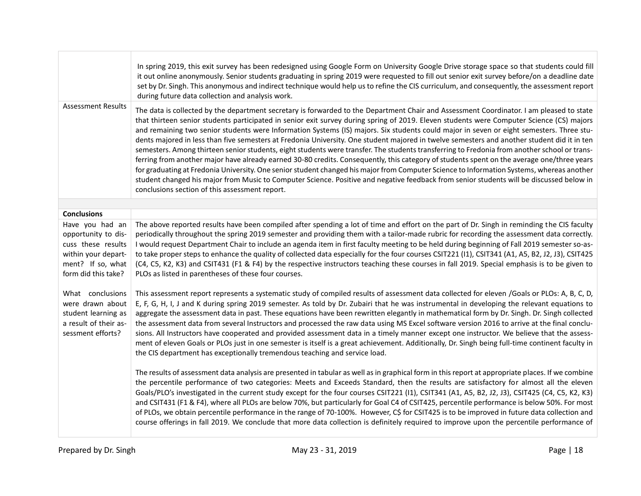|                                                                                                                                 | In spring 2019, this exit survey has been redesigned using Google Form on University Google Drive storage space so that students could fill<br>it out online anonymously. Senior students graduating in spring 2019 were requested to fill out senior exit survey before/on a deadline date<br>set by Dr. Singh. This anonymous and indirect technique would help us to refine the CIS curriculum, and consequently, the assessment report<br>during future data collection and analysis work.                                                                                                                                                                                                                                                                                                                                                                                                                                                                                                                                                                                                                                                                                                                            |
|---------------------------------------------------------------------------------------------------------------------------------|---------------------------------------------------------------------------------------------------------------------------------------------------------------------------------------------------------------------------------------------------------------------------------------------------------------------------------------------------------------------------------------------------------------------------------------------------------------------------------------------------------------------------------------------------------------------------------------------------------------------------------------------------------------------------------------------------------------------------------------------------------------------------------------------------------------------------------------------------------------------------------------------------------------------------------------------------------------------------------------------------------------------------------------------------------------------------------------------------------------------------------------------------------------------------------------------------------------------------|
| <b>Assessment Results</b>                                                                                                       | The data is collected by the department secretary is forwarded to the Department Chair and Assessment Coordinator. I am pleased to state<br>that thirteen senior students participated in senior exit survey during spring of 2019. Eleven students were Computer Science (CS) majors<br>and remaining two senior students were Information Systems (IS) majors. Six students could major in seven or eight semesters. Three stu-<br>dents majored in less than five semesters at Fredonia University. One student majored in twelve semesters and another student did it in ten<br>semesters. Among thirteen senior students, eight students were transfer. The students transferring to Fredonia from another school or trans-<br>ferring from another major have already earned 30-80 credits. Consequently, this category of students spent on the average one/three years<br>for graduating at Fredonia University. One senior student changed his major from Computer Science to Information Systems, whereas another<br>student changed his major from Music to Computer Science. Positive and negative feedback from senior students will be discussed below in<br>conclusions section of this assessment report. |
|                                                                                                                                 |                                                                                                                                                                                                                                                                                                                                                                                                                                                                                                                                                                                                                                                                                                                                                                                                                                                                                                                                                                                                                                                                                                                                                                                                                           |
| <b>Conclusions</b>                                                                                                              | The above reported results have been compiled after spending a lot of time and effort on the part of Dr. Singh in reminding the CIS faculty                                                                                                                                                                                                                                                                                                                                                                                                                                                                                                                                                                                                                                                                                                                                                                                                                                                                                                                                                                                                                                                                               |
| Have you had an<br>opportunity to dis-<br>cuss these results<br>within your depart-<br>ment? If so, what<br>form did this take? | periodically throughout the spring 2019 semester and providing them with a tailor-made rubric for recording the assessment data correctly.<br>I would request Department Chair to include an agenda item in first faculty meeting to be held during beginning of Fall 2019 semester so-as-<br>to take proper steps to enhance the quality of collected data especially for the four courses CSIT221 (11), CSIT341 (A1, A5, B2, J2, J3), CSIT425<br>(C4, C5, K2, K3) and CSIT431 (F1 & F4) by the respective instructors teaching these courses in fall 2019. Special emphasis is to be given to<br>PLOs as listed in parentheses of these four courses.                                                                                                                                                                                                                                                                                                                                                                                                                                                                                                                                                                   |
| What conclusions<br>were drawn about<br>student learning as<br>a result of their as-<br>sessment efforts?                       | This assessment report represents a systematic study of compiled results of assessment data collected for eleven /Goals or PLOs: A, B, C, D,<br>E, F, G, H, I, J and K during spring 2019 semester. As told by Dr. Zubairi that he was instrumental in developing the relevant equations to<br>aggregate the assessment data in past. These equations have been rewritten elegantly in mathematical form by Dr. Singh. Dr. Singh collected<br>the assessment data from several Instructors and processed the raw data using MS Excel software version 2016 to arrive at the final conclu-<br>sions. All Instructors have cooperated and provided assessment data in a timely manner except one instructor. We believe that the assess-<br>ment of eleven Goals or PLOs just in one semester is itself is a great achievement. Additionally, Dr. Singh being full-time continent faculty in<br>the CIS department has exceptionally tremendous teaching and service load.                                                                                                                                                                                                                                                  |
|                                                                                                                                 | The results of assessment data analysis are presented in tabular as well as in graphical form in this report at appropriate places. If we combine<br>the percentile performance of two categories: Meets and Exceeds Standard, then the results are satisfactory for almost all the eleven<br>Goals/PLO's investigated in the current study except for the four courses CSIT221 (11), CSIT341 (A1, A5, B2, J2, J3), CSIT425 (C4, C5, K2, K3)<br>and CSIT431 (F1 & F4), where all PLOs are below 70%, but particularly for Goal C4 of CSIT425, percentile performance is below 50%. For most<br>of PLOs, we obtain percentile performance in the range of 70-100%. However, C\$ for CSIT425 is to be improved in future data collection and<br>course offerings in fall 2019. We conclude that more data collection is definitely required to improve upon the percentile performance of                                                                                                                                                                                                                                                                                                                                   |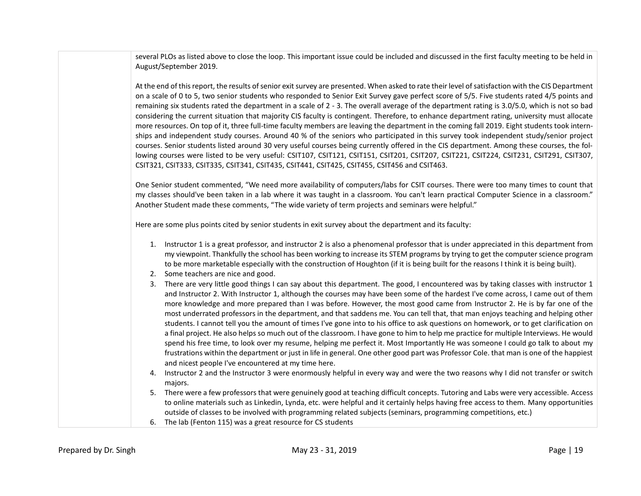several PLOs as listed above to close the loop. This important issue could be included and discussed in the first faculty meeting to be held in August/September 2019.

At the end of this report, the results of senior exit survey are presented. When asked to rate their level of satisfaction with the CIS Department on a scale of 0 to 5, two senior students who responded to Senior Exit Survey gave perfect score of 5/5. Five students rated 4/5 points and remaining six students rated the department in a scale of 2 - 3. The overall average of the department rating is 3.0/5.0, which is not so bad considering the current situation that majority CIS faculty is contingent. Therefore, to enhance department rating, university must allocate more resources. On top of it, three full-time faculty members are leaving the department in the coming fall 2019. Eight students took internships and independent study courses. Around 40 % of the seniors who participated in this survey took independent study/senior project courses. Senior students listed around 30 very useful courses being currently offered in the CIS department. Among these courses, the following courses were listed to be very useful: CSIT107, CSIT121, CSIT151, CSIT201, CSIT207, CSIT221, CSIT224, CSIT231, CSIT291, CSIT307, CSIT321, CSIT333, CSIT335, CSIT341, CSIT435, CSIT441, CSIT425, CSIT455, CSIT456 and CSIT463.

One Senior student commented, "We need more availability of computers/labs for CSIT courses. There were too many times to count that my classes should've been taken in a lab where it was taught in a classroom. You can't learn practical Computer Science in a classroom." Another Student made these comments, "The wide variety of term projects and seminars were helpful."

Here are some plus points cited by senior students in exit survey about the department and its faculty:

- 1. Instructor 1 is a great professor, and instructor 2 is also a phenomenal professor that is under appreciated in this department from my viewpoint. Thankfully the school has been working to increase its STEM programs by trying to get the computer science program to be more marketable especially with the construction of Houghton (if it is being built for the reasons I think it is being built).
- 2. Some teachers are nice and good.
- 3. There are very little good things I can say about this department. The good, I encountered was by taking classes with instructor 1 and Instructor 2. With Instructor 1, although the courses may have been some of the hardest I've come across, I came out of them more knowledge and more prepared than I was before. However, the most good came from Instructor 2. He is by far one of the most underrated professors in the department, and that saddens me. You can tell that, that man enjoys teaching and helping other students. I cannot tell you the amount of times I've gone into to his office to ask questions on homework, or to get clarification on a final project. He also helps so much out of the classroom. I have gone to him to help me practice for multiple Interviews. He would spend his free time, to look over my resume, helping me perfect it. Most Importantly He was someone I could go talk to about my frustrations within the department or just in life in general. One other good part was Professor Cole. that man is one of the happiest and nicest people I've encountered at my time here.
- 4. Instructor 2 and the Instructor 3 were enormously helpful in every way and were the two reasons why I did not transfer or switch majors.
- 5. There were a few professors that were genuinely good at teaching difficult concepts. Tutoring and Labs were very accessible. Access to online materials such as Linkedin, Lynda, etc. were helpful and it certainly helps having free access to them. Many opportunities outside of classes to be involved with programming related subjects (seminars, programming competitions, etc.)
- 6. The lab (Fenton 115) was a great resource for CS students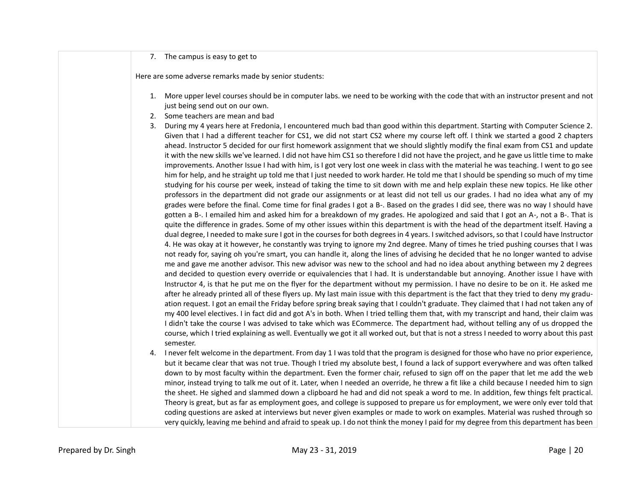#### 7. The campus is easy to get to

Here are some adverse remarks made by senior students:

- 1. More upper level courses should be in computer labs. we need to be working with the code that with an instructor present and not just being send out on our own.
- 2. Some teachers are mean and bad
- 3. During my 4 years here at Fredonia, I encountered much bad than good within this department. Starting with Computer Science 2. Given that I had a different teacher for CS1, we did not start CS2 where my course left off. I think we started a good 2 chapters ahead. Instructor 5 decided for our first homework assignment that we should slightly modify the final exam from CS1 and update it with the new skills we've learned. I did not have him CS1 so therefore I did not have the project, and he gave us little time to make improvements. Another Issue I had with him, is I got very lost one week in class with the material he was teaching. I went to go see him for help, and he straight up told me that I just needed to work harder. He told me that I should be spending so much of my time studying for his course per week, instead of taking the time to sit down with me and help explain these new topics. He like other professors in the department did not grade our assignments or at least did not tell us our grades. I had no idea what any of my grades were before the final. Come time for final grades I got a B-. Based on the grades I did see, there was no way I should have gotten a B-. I emailed him and asked him for a breakdown of my grades. He apologized and said that I got an A-, not a B-. That is quite the difference in grades. Some of my other issues within this department is with the head of the department itself. Having a dual degree, I needed to make sure I got in the courses for both degrees in 4 years. I switched advisors, so that I could have Instructor 4. He was okay at it however, he constantly was trying to ignore my 2nd degree. Many of times he tried pushing courses that I was not ready for, saying oh you're smart, you can handle it, along the lines of advising he decided that he no longer wanted to advise me and gave me another advisor. This new advisor was new to the school and had no idea about anything between my 2 degrees and decided to question every override or equivalencies that I had. It is understandable but annoying. Another issue I have with Instructor 4, is that he put me on the flyer for the department without my permission. I have no desire to be on it. He asked me after he already printed all of these flyers up. My last main issue with this department is the fact that they tried to deny my graduation request. I got an email the Friday before spring break saying that I couldn't graduate. They claimed that I had not taken any of my 400 level electives. I in fact did and got A's in both. When I tried telling them that, with my transcript and hand, their claim was I didn't take the course I was advised to take which was ECommerce. The department had, without telling any of us dropped the course, which I tried explaining as well. Eventually we got it all worked out, but that is not a stress I needed to worry about this past semester.
- 4. I never felt welcome in the department. From day 1 I was told that the program is designed for those who have no prior experience, but it became clear that was not true. Though I tried my absolute best, I found a lack of support everywhere and was often talked down to by most faculty within the department. Even the former chair, refused to sign off on the paper that let me add the web minor, instead trying to talk me out of it. Later, when I needed an override, he threw a fit like a child because I needed him to sign the sheet. He sighed and slammed down a clipboard he had and did not speak a word to me. In addition, few things felt practical. Theory is great, but as far as employment goes, and college is supposed to prepare us for employment, we were only ever told that coding questions are asked at interviews but never given examples or made to work on examples. Material was rushed through so very quickly, leaving me behind and afraid to speak up. I do not think the money I paid for my degree from this department has been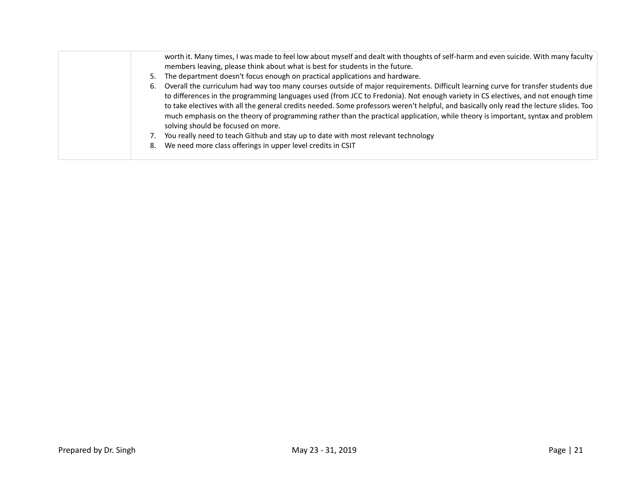|    | worth it. Many times, I was made to feel low about myself and dealt with thoughts of self-harm and even suicide. With many faculty<br>members leaving, please think about what is best for students in the future.                                                                                                                                                                                                                                                                                                                                                                        |
|----|-------------------------------------------------------------------------------------------------------------------------------------------------------------------------------------------------------------------------------------------------------------------------------------------------------------------------------------------------------------------------------------------------------------------------------------------------------------------------------------------------------------------------------------------------------------------------------------------|
| 5. | The department doesn't focus enough on practical applications and hardware.                                                                                                                                                                                                                                                                                                                                                                                                                                                                                                               |
| 6. | Overall the curriculum had way too many courses outside of major requirements. Difficult learning curve for transfer students due<br>to differences in the programming languages used (from JCC to Fredonia). Not enough variety in CS electives, and not enough time<br>to take electives with all the general credits needed. Some professors weren't helpful, and basically only read the lecture slides. Too<br>much emphasis on the theory of programming rather than the practical application, while theory is important, syntax and problem<br>solving should be focused on more. |
|    | You really need to teach Github and stay up to date with most relevant technology                                                                                                                                                                                                                                                                                                                                                                                                                                                                                                         |
| 8. | We need more class offerings in upper level credits in CSIT                                                                                                                                                                                                                                                                                                                                                                                                                                                                                                                               |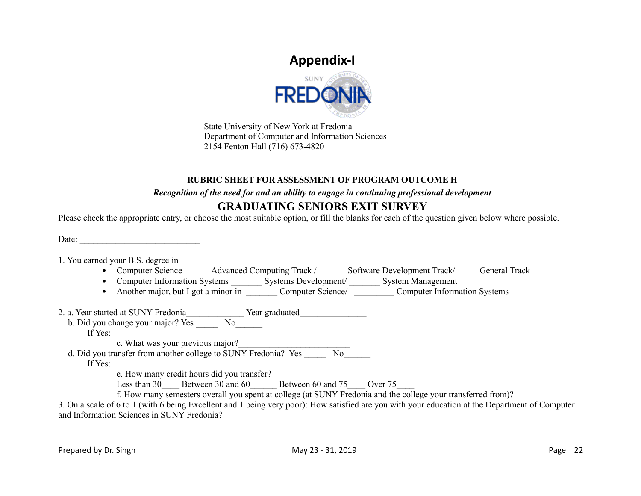# **Appendix-I**



State University of New York at Fredonia Department of Computer and Information Sciences 2154 Fenton Hall (716) 673-4820

### **RUBRIC SHEET FOR ASSESSMENT OF PROGRAM OUTCOME H**

### *Recognition of the need for and an ability to engage in continuing professional development*

### **GRADUATING SENIORS EXIT SURVEY**

Please check the appropriate entry, or choose the most suitable option, or fill the blanks for each of the question given below where possible.

Date:

1. You earned your B.S. degree in

- Computer Science Advanced Computing Track / Software Development Track / General Track
- Computer Information Systems \_\_\_\_\_\_\_\_\_\_ Systems Development/ \_\_\_\_\_\_\_\_\_ System Management
- Another major, but I got a minor in Computer Science/ Computer Information Systems

2. a. Year started at SUNY Fredonia Tear graduated

b. Did you change your major? Yes \_\_\_\_\_ No\_\_\_\_\_\_

If Yes:

c. What was your previous major?

d. Did you transfer from another college to SUNY Fredonia? Yes \_\_\_\_\_\_\_\_ No\_\_\_\_\_\_

If Yes:

e. How many credit hours did you transfer?

Less than 30 Less than 30 and 60 Between 60 and 75 Over 75

f. How many semesters overall you spent at college (at SUNY Fredonia and the college your transferred from)?

3. On a scale of 6 to 1 (with 6 being Excellent and 1 being very poor): How satisfied are you with your education at the Department of Computer and Information Sciences in SUNY Fredonia?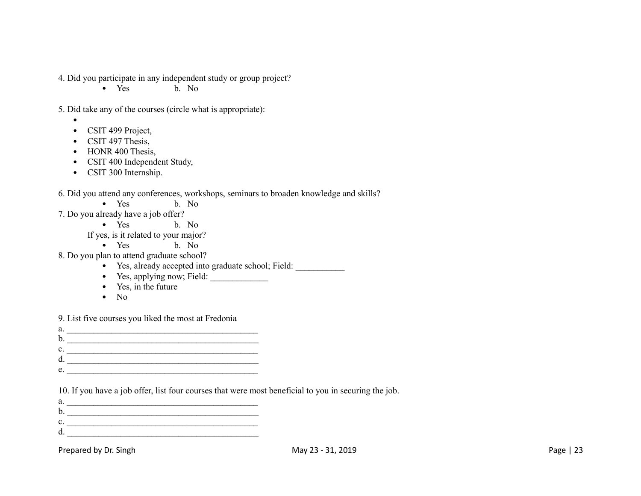4. Did you participate in any independent study or group project?

• Yes b. No.

5. Did take any of the courses (circle what is appropriate):

- •
- CSIT 499 Project,
- CSIT 497 Thesis,
- HONR 400 Thesis,
- CSIT 400 Independent Study,
- CSIT 300 Internship.

### 6. Did you attend any conferences, workshops, seminars to broaden knowledge and skills?

- Yes b. No
- 7. Do you already have a job offer?
	- Yes b. No
	- If yes, is it related to your major?
		- Yes b. No
- 8. Do you plan to attend graduate school?
	- Yes, already accepted into graduate school; Field:
	- Yes, applying now; Field:
	- Yes, in the future
	- $\bullet$  No

9. List five courses you liked the most at Fredonia

- a. \_\_\_\_\_\_\_\_\_\_\_\_\_\_\_\_\_\_\_\_\_\_\_\_\_\_\_\_\_\_\_\_\_\_\_\_\_\_\_\_\_\_\_ b. \_\_\_\_\_\_\_\_\_\_\_\_\_\_\_\_\_\_\_\_\_\_\_\_\_\_\_\_\_\_\_\_\_\_\_\_\_\_\_\_\_\_\_
- $c.$
- d. \_\_\_\_\_\_\_\_\_\_\_\_\_\_\_\_\_\_\_\_\_\_\_\_\_\_\_\_\_\_\_\_\_\_\_\_\_\_\_\_\_\_\_
- $e.$

10. If you have a job offer, list four courses that were most beneficial to you in securing the job.

 $a.$   $\qquad \qquad$ b. \_\_\_\_\_\_\_\_\_\_\_\_\_\_\_\_\_\_\_\_\_\_\_\_\_\_\_\_\_\_\_\_\_\_\_\_\_\_\_\_\_\_\_  $c.$   $\overline{\phantom{a}}$  $d.$ 

Prepared by Dr. Singh May 23 - 31, 2019 May 23 - 31, 2019